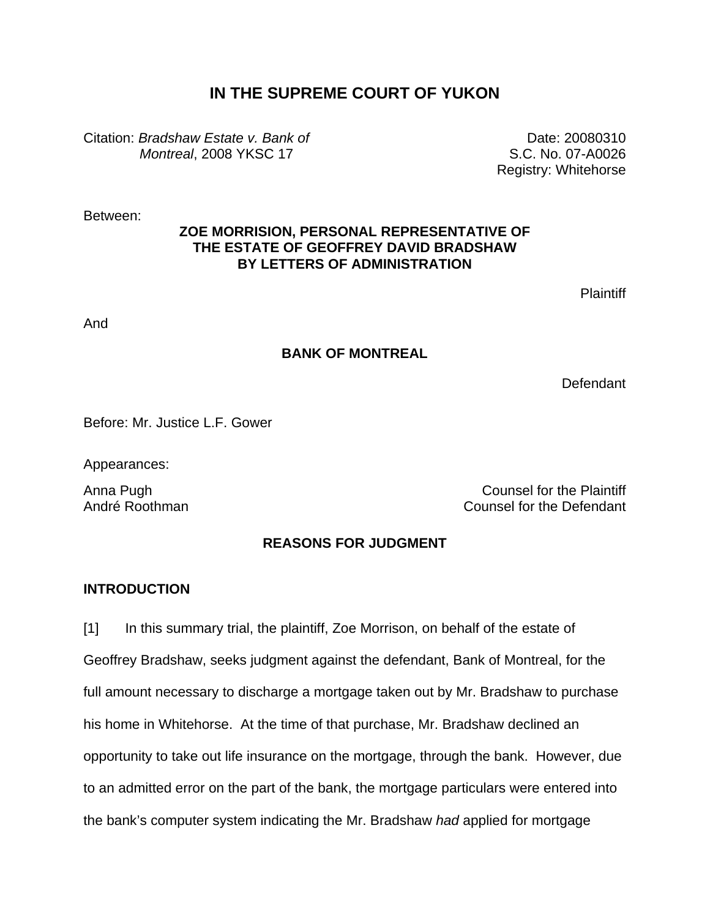# **IN THE SUPREME COURT OF YUKON**

Citation: *Bradshaw Estate v. Bank of Montreal*, 2008 YKSC 17

Date: 20080310 S.C. No. 07-A0026 Registry: Whitehorse

Between:

## **ZOE MORRISION, PERSONAL REPRESENTATIVE OF THE ESTATE OF GEOFFREY DAVID BRADSHAW BY LETTERS OF ADMINISTRATION**

**Plaintiff** 

And

## **BANK OF MONTREAL**

**Defendant** 

Before: Mr. Justice L.F. Gower

Appearances:

Anna Pugh Counsel for the Plaintiff André Roothman Counsel for the Defendant

# **REASONS FOR JUDGMENT**

## **INTRODUCTION**

[1] In this summary trial, the plaintiff, Zoe Morrison, on behalf of the estate of Geoffrey Bradshaw, seeks judgment against the defendant, Bank of Montreal, for the full amount necessary to discharge a mortgage taken out by Mr. Bradshaw to purchase his home in Whitehorse. At the time of that purchase, Mr. Bradshaw declined an opportunity to take out life insurance on the mortgage, through the bank. However, due to an admitted error on the part of the bank, the mortgage particulars were entered into the bank's computer system indicating the Mr. Bradshaw *had* applied for mortgage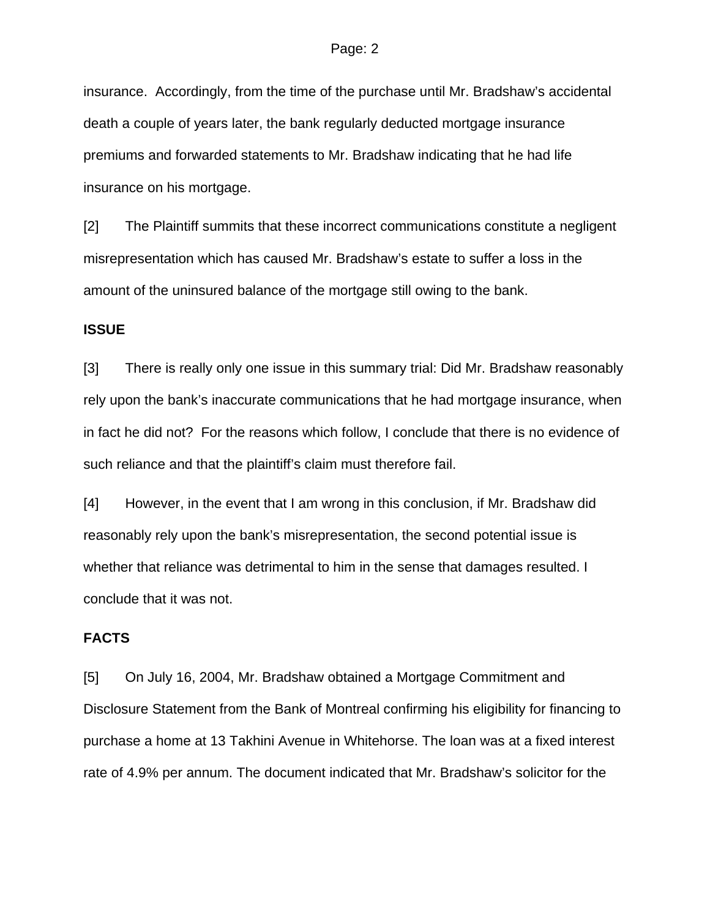insurance. Accordingly, from the time of the purchase until Mr. Bradshaw's accidental death a couple of years later, the bank regularly deducted mortgage insurance premiums and forwarded statements to Mr. Bradshaw indicating that he had life insurance on his mortgage.

[2] The Plaintiff summits that these incorrect communications constitute a negligent misrepresentation which has caused Mr. Bradshaw's estate to suffer a loss in the amount of the uninsured balance of the mortgage still owing to the bank.

### **ISSUE**

[3] There is really only one issue in this summary trial: Did Mr. Bradshaw reasonably rely upon the bank's inaccurate communications that he had mortgage insurance, when in fact he did not? For the reasons which follow, I conclude that there is no evidence of such reliance and that the plaintiff's claim must therefore fail.

[4] However, in the event that I am wrong in this conclusion, if Mr. Bradshaw did reasonably rely upon the bank's misrepresentation, the second potential issue is whether that reliance was detrimental to him in the sense that damages resulted. I conclude that it was not.

### **FACTS**

[5] On July 16, 2004, Mr. Bradshaw obtained a Mortgage Commitment and Disclosure Statement from the Bank of Montreal confirming his eligibility for financing to purchase a home at 13 Takhini Avenue in Whitehorse. The loan was at a fixed interest rate of 4.9% per annum. The document indicated that Mr. Bradshaw's solicitor for the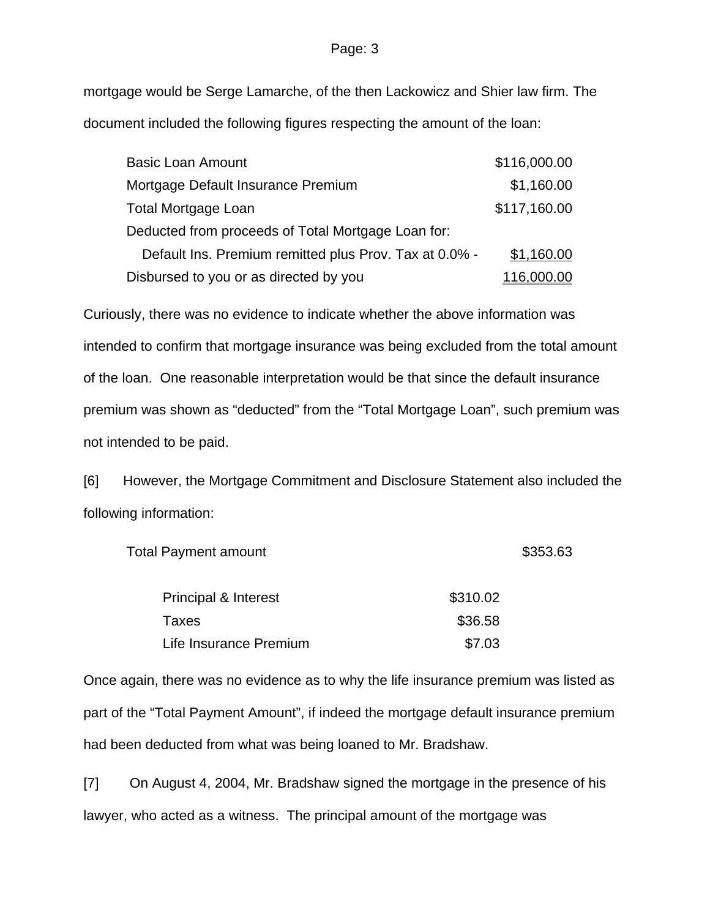mortgage would be Serge Lamarche, of the then Lackowicz and Shier law firm. The document included the following figures respecting the amount of the loan:

| <b>Basic Loan Amount</b>                               | \$116,000.00     |
|--------------------------------------------------------|------------------|
| Mortgage Default Insurance Premium                     | \$1,160.00       |
| <b>Total Mortgage Loan</b>                             | \$117,160.00     |
| Deducted from proceeds of Total Mortgage Loan for:     |                  |
| Default Ins. Premium remitted plus Prov. Tax at 0.0% - | \$1,160.00       |
| Disbursed to you or as directed by you                 | <u>16,000.00</u> |

Curiously, there was no evidence to indicate whether the above information was intended to confirm that mortgage insurance was being excluded from the total amount of the loan. One reasonable interpretation would be that since the default insurance premium was shown as "deducted" from the "Total Mortgage Loan", such premium was not intended to be paid.

[6] However, the Mortgage Commitment and Disclosure Statement also included the following information:

| <b>Total Payment amount</b>     | \$353.63 |  |
|---------------------------------|----------|--|
| <b>Principal &amp; Interest</b> | \$310.02 |  |
| Taxes                           | \$36.58  |  |
| Life Insurance Premium          | \$7.03   |  |

Once again, there was no evidence as to why the life insurance premium was listed as part of the "Total Payment Amount", if indeed the mortgage default insurance premium had been deducted from what was being loaned to Mr. Bradshaw.

[7] On August 4, 2004, Mr. Bradshaw signed the mortgage in the presence of his lawyer, who acted as a witness. The principal amount of the mortgage was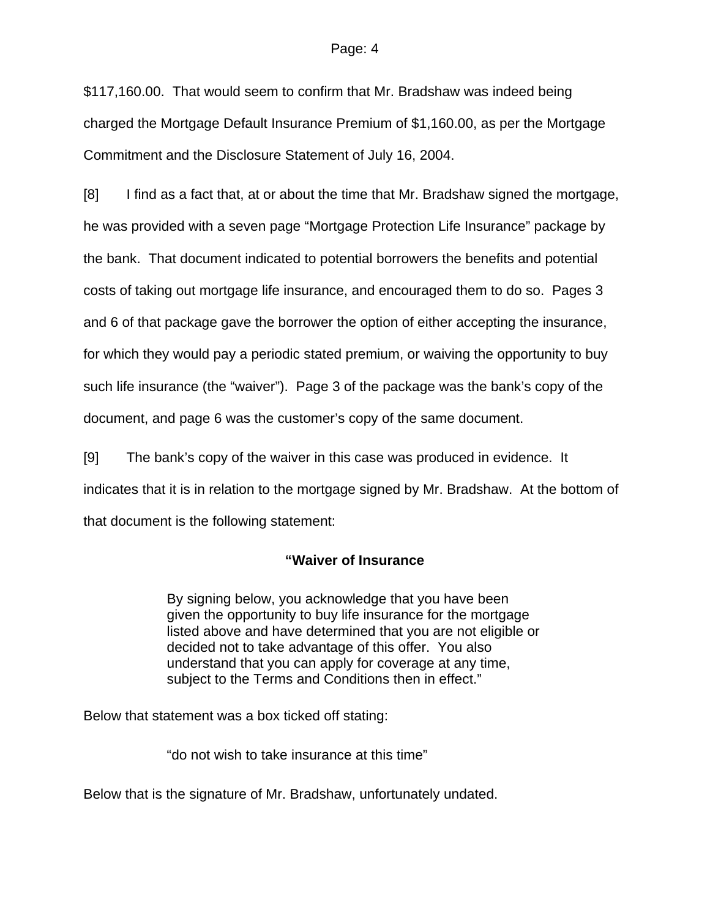\$117,160.00. That would seem to confirm that Mr. Bradshaw was indeed being charged the Mortgage Default Insurance Premium of \$1,160.00, as per the Mortgage Commitment and the Disclosure Statement of July 16, 2004.

[8] I find as a fact that, at or about the time that Mr. Bradshaw signed the mortgage, he was provided with a seven page "Mortgage Protection Life Insurance" package by the bank. That document indicated to potential borrowers the benefits and potential costs of taking out mortgage life insurance, and encouraged them to do so. Pages 3 and 6 of that package gave the borrower the option of either accepting the insurance, for which they would pay a periodic stated premium, or waiving the opportunity to buy such life insurance (the "waiver"). Page 3 of the package was the bank's copy of the document, and page 6 was the customer's copy of the same document.

[9] The bank's copy of the waiver in this case was produced in evidence. It indicates that it is in relation to the mortgage signed by Mr. Bradshaw. At the bottom of that document is the following statement:

## **"Waiver of Insurance**

By signing below, you acknowledge that you have been given the opportunity to buy life insurance for the mortgage listed above and have determined that you are not eligible or decided not to take advantage of this offer. You also understand that you can apply for coverage at any time, subject to the Terms and Conditions then in effect."

Below that statement was a box ticked off stating:

"do not wish to take insurance at this time"

Below that is the signature of Mr. Bradshaw, unfortunately undated.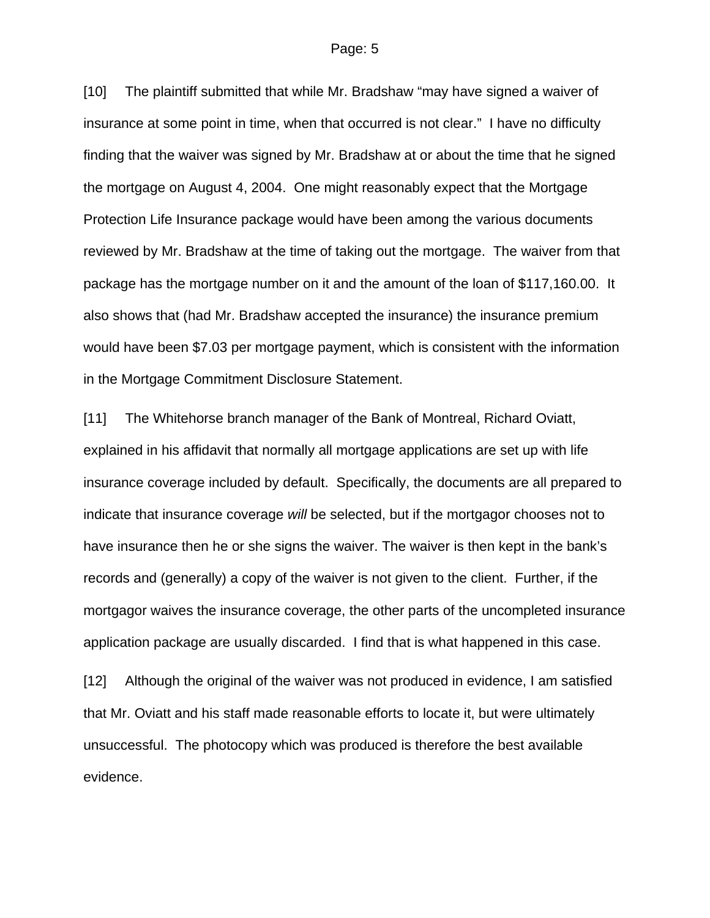[10] The plaintiff submitted that while Mr. Bradshaw "may have signed a waiver of insurance at some point in time, when that occurred is not clear." I have no difficulty finding that the waiver was signed by Mr. Bradshaw at or about the time that he signed the mortgage on August 4, 2004. One might reasonably expect that the Mortgage Protection Life Insurance package would have been among the various documents reviewed by Mr. Bradshaw at the time of taking out the mortgage. The waiver from that package has the mortgage number on it and the amount of the loan of \$117,160.00. It also shows that (had Mr. Bradshaw accepted the insurance) the insurance premium would have been \$7.03 per mortgage payment, which is consistent with the information in the Mortgage Commitment Disclosure Statement.

[11] The Whitehorse branch manager of the Bank of Montreal, Richard Oviatt, explained in his affidavit that normally all mortgage applications are set up with life insurance coverage included by default. Specifically, the documents are all prepared to indicate that insurance coverage *will* be selected, but if the mortgagor chooses not to have insurance then he or she signs the waiver. The waiver is then kept in the bank's records and (generally) a copy of the waiver is not given to the client. Further, if the mortgagor waives the insurance coverage, the other parts of the uncompleted insurance application package are usually discarded. I find that is what happened in this case.

[12] Although the original of the waiver was not produced in evidence, I am satisfied that Mr. Oviatt and his staff made reasonable efforts to locate it, but were ultimately unsuccessful. The photocopy which was produced is therefore the best available evidence.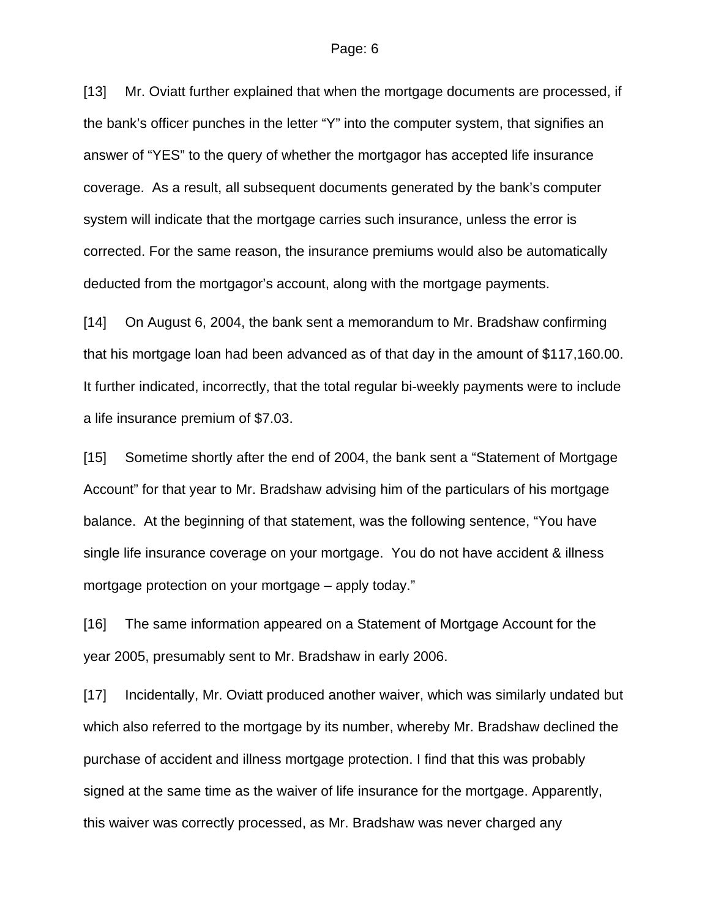[13] Mr. Oviatt further explained that when the mortgage documents are processed, if the bank's officer punches in the letter "Y" into the computer system, that signifies an answer of "YES" to the query of whether the mortgagor has accepted life insurance coverage. As a result, all subsequent documents generated by the bank's computer system will indicate that the mortgage carries such insurance, unless the error is corrected. For the same reason, the insurance premiums would also be automatically deducted from the mortgagor's account, along with the mortgage payments.

[14] On August 6, 2004, the bank sent a memorandum to Mr. Bradshaw confirming that his mortgage loan had been advanced as of that day in the amount of \$117,160.00. It further indicated, incorrectly, that the total regular bi-weekly payments were to include a life insurance premium of \$7.03.

[15] Sometime shortly after the end of 2004, the bank sent a "Statement of Mortgage Account" for that year to Mr. Bradshaw advising him of the particulars of his mortgage balance. At the beginning of that statement, was the following sentence, "You have single life insurance coverage on your mortgage. You do not have accident & illness mortgage protection on your mortgage – apply today."

[16] The same information appeared on a Statement of Mortgage Account for the year 2005, presumably sent to Mr. Bradshaw in early 2006.

[17] Incidentally, Mr. Oviatt produced another waiver, which was similarly undated but which also referred to the mortgage by its number, whereby Mr. Bradshaw declined the purchase of accident and illness mortgage protection. I find that this was probably signed at the same time as the waiver of life insurance for the mortgage. Apparently, this waiver was correctly processed, as Mr. Bradshaw was never charged any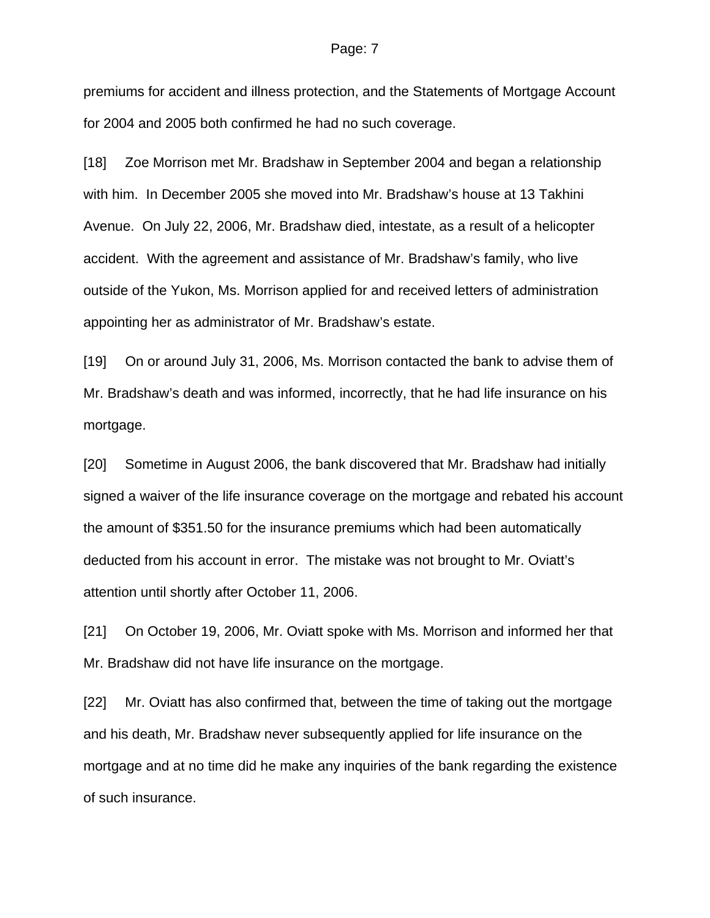premiums for accident and illness protection, and the Statements of Mortgage Account for 2004 and 2005 both confirmed he had no such coverage.

[18] Zoe Morrison met Mr. Bradshaw in September 2004 and began a relationship with him. In December 2005 she moved into Mr. Bradshaw's house at 13 Takhini Avenue. On July 22, 2006, Mr. Bradshaw died, intestate, as a result of a helicopter accident. With the agreement and assistance of Mr. Bradshaw's family, who live outside of the Yukon, Ms. Morrison applied for and received letters of administration appointing her as administrator of Mr. Bradshaw's estate.

[19] On or around July 31, 2006, Ms. Morrison contacted the bank to advise them of Mr. Bradshaw's death and was informed, incorrectly, that he had life insurance on his mortgage.

[20] Sometime in August 2006, the bank discovered that Mr. Bradshaw had initially signed a waiver of the life insurance coverage on the mortgage and rebated his account the amount of \$351.50 for the insurance premiums which had been automatically deducted from his account in error. The mistake was not brought to Mr. Oviatt's attention until shortly after October 11, 2006.

[21] On October 19, 2006, Mr. Oviatt spoke with Ms. Morrison and informed her that Mr. Bradshaw did not have life insurance on the mortgage.

[22] Mr. Oviatt has also confirmed that, between the time of taking out the mortgage and his death, Mr. Bradshaw never subsequently applied for life insurance on the mortgage and at no time did he make any inquiries of the bank regarding the existence of such insurance.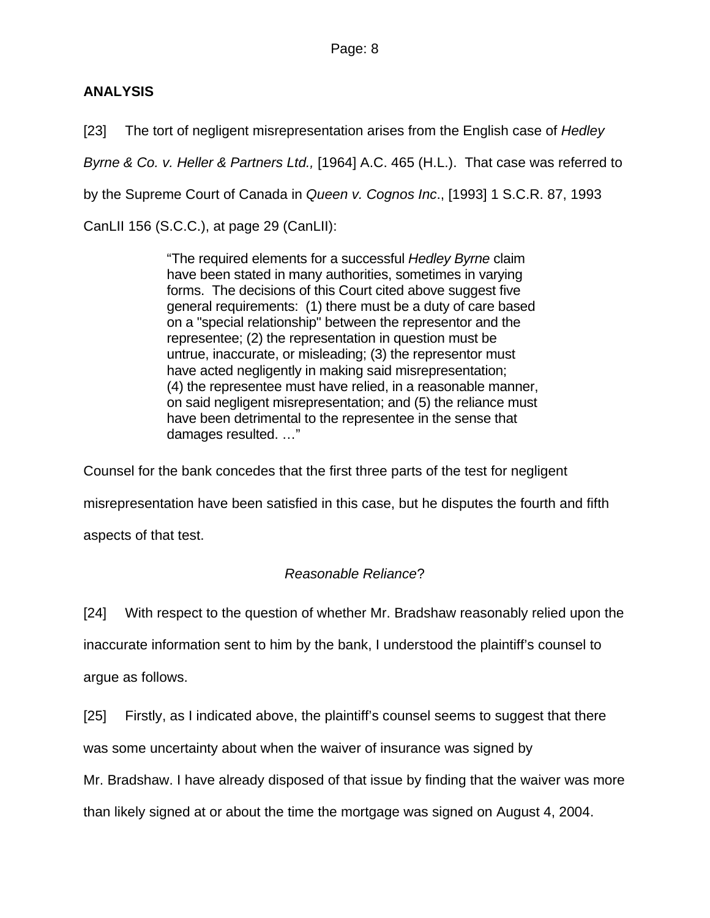# **ANALYSIS**

[23] The tort of negligent misrepresentation arises from the English case of *Hedley* 

*Byrne & Co. v. Heller & Partners Ltd.,* [1964] A.C. 465 (H.L.). That case was referred to

by the Supreme Court of Canada in *Queen v. Cognos Inc*., [1993] 1 S.C.R. 87, 1993

CanLII 156 (S.C.C.), at page 29 (CanLII):

"The required elements for a successful *Hedley Byrne* claim have been stated in many authorities, sometimes in varying forms. The decisions of this Court cited above suggest five general requirements: (1) there must be a duty of care based on a "special relationship" between the representor and the representee; (2) the representation in question must be untrue, inaccurate, or misleading; (3) the representor must have acted negligently in making said misrepresentation; (4) the representee must have relied, in a reasonable manner, on said negligent misrepresentation; and (5) the reliance must have been detrimental to the representee in the sense that damages resulted. …"

Counsel for the bank concedes that the first three parts of the test for negligent

misrepresentation have been satisfied in this case, but he disputes the fourth and fifth

aspects of that test.

# *Reasonable Reliance*?

[24] With respect to the question of whether Mr. Bradshaw reasonably relied upon the

inaccurate information sent to him by the bank, I understood the plaintiff's counsel to

argue as follows.

[25] Firstly, as I indicated above, the plaintiff's counsel seems to suggest that there

was some uncertainty about when the waiver of insurance was signed by

Mr. Bradshaw. I have already disposed of that issue by finding that the waiver was more

than likely signed at or about the time the mortgage was signed on August 4, 2004.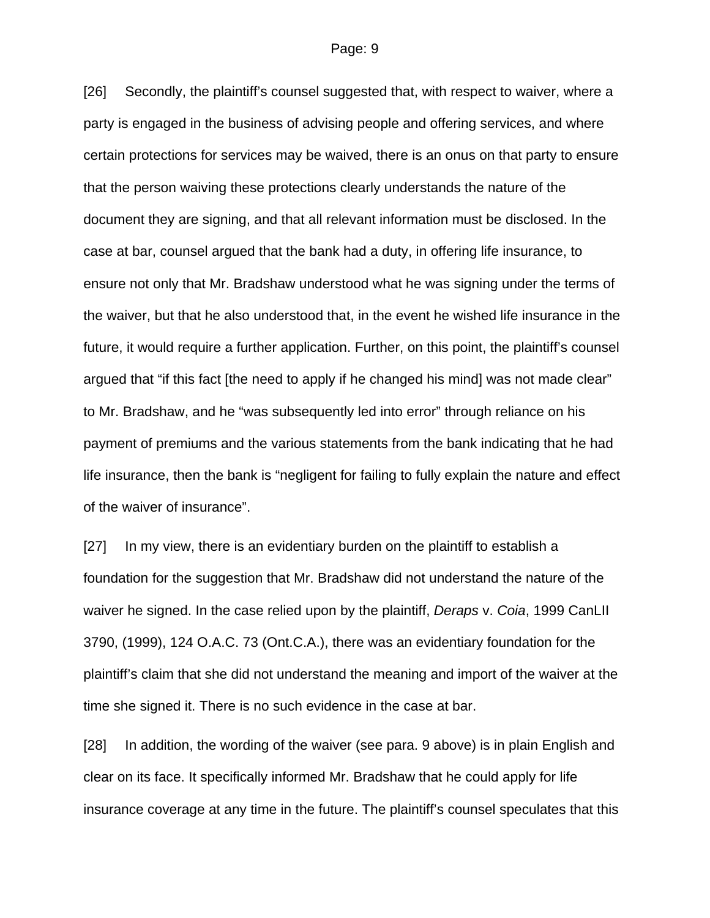[26] Secondly, the plaintiff's counsel suggested that, with respect to waiver, where a party is engaged in the business of advising people and offering services, and where certain protections for services may be waived, there is an onus on that party to ensure that the person waiving these protections clearly understands the nature of the document they are signing, and that all relevant information must be disclosed. In the case at bar, counsel argued that the bank had a duty, in offering life insurance, to ensure not only that Mr. Bradshaw understood what he was signing under the terms of the waiver, but that he also understood that, in the event he wished life insurance in the future, it would require a further application. Further, on this point, the plaintiff's counsel argued that "if this fact [the need to apply if he changed his mind] was not made clear" to Mr. Bradshaw, and he "was subsequently led into error" through reliance on his payment of premiums and the various statements from the bank indicating that he had life insurance, then the bank is "negligent for failing to fully explain the nature and effect of the waiver of insurance".

[27] In my view, there is an evidentiary burden on the plaintiff to establish a foundation for the suggestion that Mr. Bradshaw did not understand the nature of the waiver he signed. In the case relied upon by the plaintiff, *Deraps* v. *Coia*, 1999 CanLII 3790, (1999), 124 O.A.C. 73 (Ont.C.A.), there was an evidentiary foundation for the plaintiff's claim that she did not understand the meaning and import of the waiver at the time she signed it. There is no such evidence in the case at bar.

[28] In addition, the wording of the waiver (see para. 9 above) is in plain English and clear on its face. It specifically informed Mr. Bradshaw that he could apply for life insurance coverage at any time in the future. The plaintiff's counsel speculates that this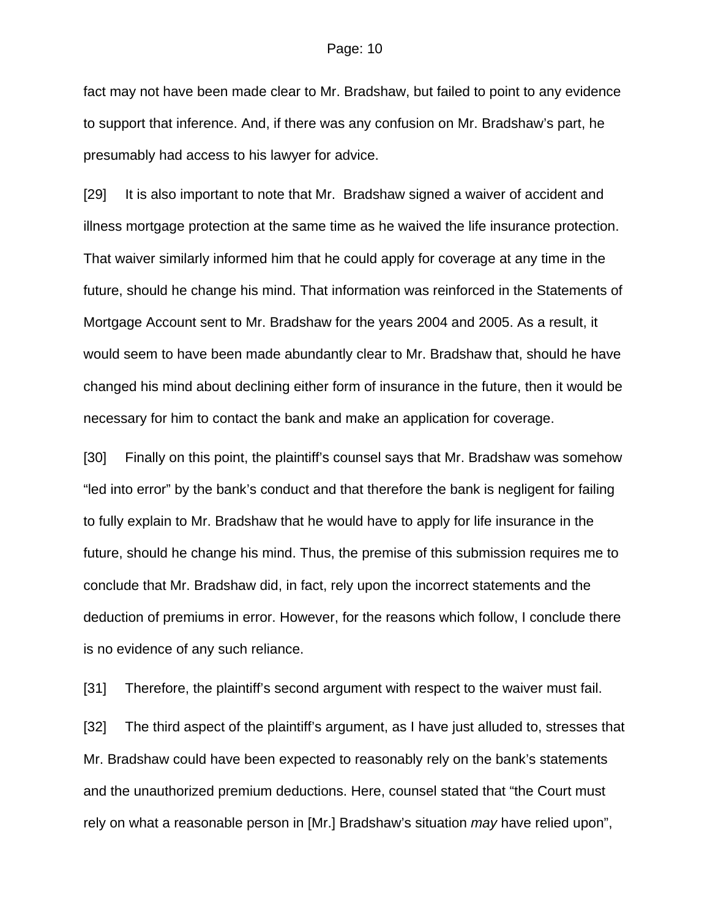fact may not have been made clear to Mr. Bradshaw, but failed to point to any evidence to support that inference. And, if there was any confusion on Mr. Bradshaw's part, he presumably had access to his lawyer for advice.

[29] It is also important to note that Mr. Bradshaw signed a waiver of accident and illness mortgage protection at the same time as he waived the life insurance protection. That waiver similarly informed him that he could apply for coverage at any time in the future, should he change his mind. That information was reinforced in the Statements of Mortgage Account sent to Mr. Bradshaw for the years 2004 and 2005. As a result, it would seem to have been made abundantly clear to Mr. Bradshaw that, should he have changed his mind about declining either form of insurance in the future, then it would be necessary for him to contact the bank and make an application for coverage.

[30] Finally on this point, the plaintiff's counsel says that Mr. Bradshaw was somehow "led into error" by the bank's conduct and that therefore the bank is negligent for failing to fully explain to Mr. Bradshaw that he would have to apply for life insurance in the future, should he change his mind. Thus, the premise of this submission requires me to conclude that Mr. Bradshaw did, in fact, rely upon the incorrect statements and the deduction of premiums in error. However, for the reasons which follow, I conclude there is no evidence of any such reliance.

[31] Therefore, the plaintiff's second argument with respect to the waiver must fail.

[32] The third aspect of the plaintiff's argument, as I have just alluded to, stresses that Mr. Bradshaw could have been expected to reasonably rely on the bank's statements and the unauthorized premium deductions. Here, counsel stated that "the Court must rely on what a reasonable person in [Mr.] Bradshaw's situation *may* have relied upon",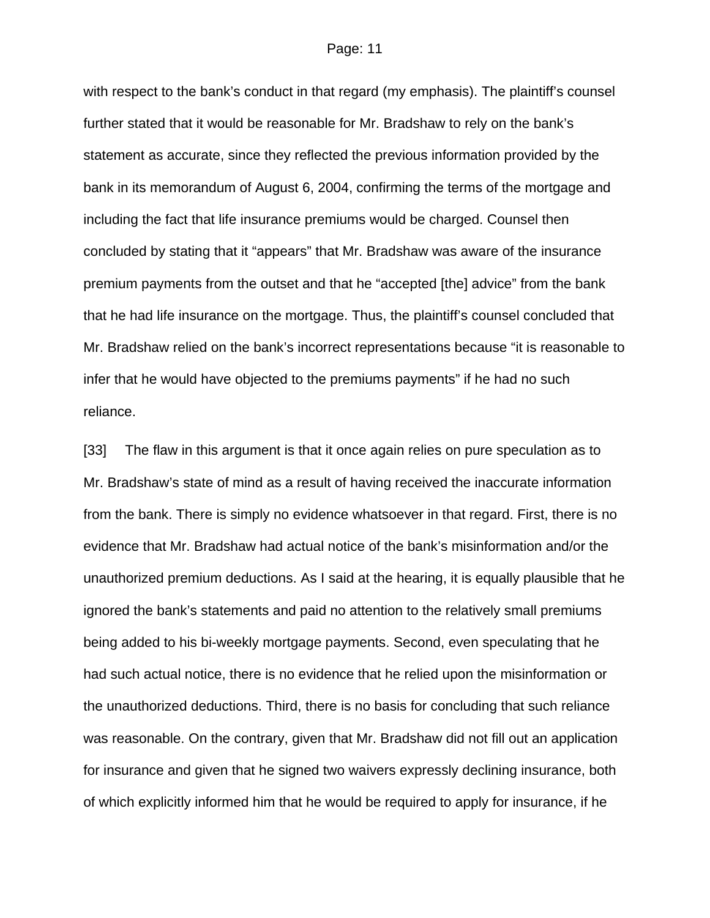with respect to the bank's conduct in that regard (my emphasis). The plaintiff's counsel further stated that it would be reasonable for Mr. Bradshaw to rely on the bank's statement as accurate, since they reflected the previous information provided by the bank in its memorandum of August 6, 2004, confirming the terms of the mortgage and including the fact that life insurance premiums would be charged. Counsel then concluded by stating that it "appears" that Mr. Bradshaw was aware of the insurance premium payments from the outset and that he "accepted [the] advice" from the bank that he had life insurance on the mortgage. Thus, the plaintiff's counsel concluded that Mr. Bradshaw relied on the bank's incorrect representations because "it is reasonable to infer that he would have objected to the premiums payments" if he had no such reliance.

[33] The flaw in this argument is that it once again relies on pure speculation as to Mr. Bradshaw's state of mind as a result of having received the inaccurate information from the bank. There is simply no evidence whatsoever in that regard. First, there is no evidence that Mr. Bradshaw had actual notice of the bank's misinformation and/or the unauthorized premium deductions. As I said at the hearing, it is equally plausible that he ignored the bank's statements and paid no attention to the relatively small premiums being added to his bi-weekly mortgage payments. Second, even speculating that he had such actual notice, there is no evidence that he relied upon the misinformation or the unauthorized deductions. Third, there is no basis for concluding that such reliance was reasonable. On the contrary, given that Mr. Bradshaw did not fill out an application for insurance and given that he signed two waivers expressly declining insurance, both of which explicitly informed him that he would be required to apply for insurance, if he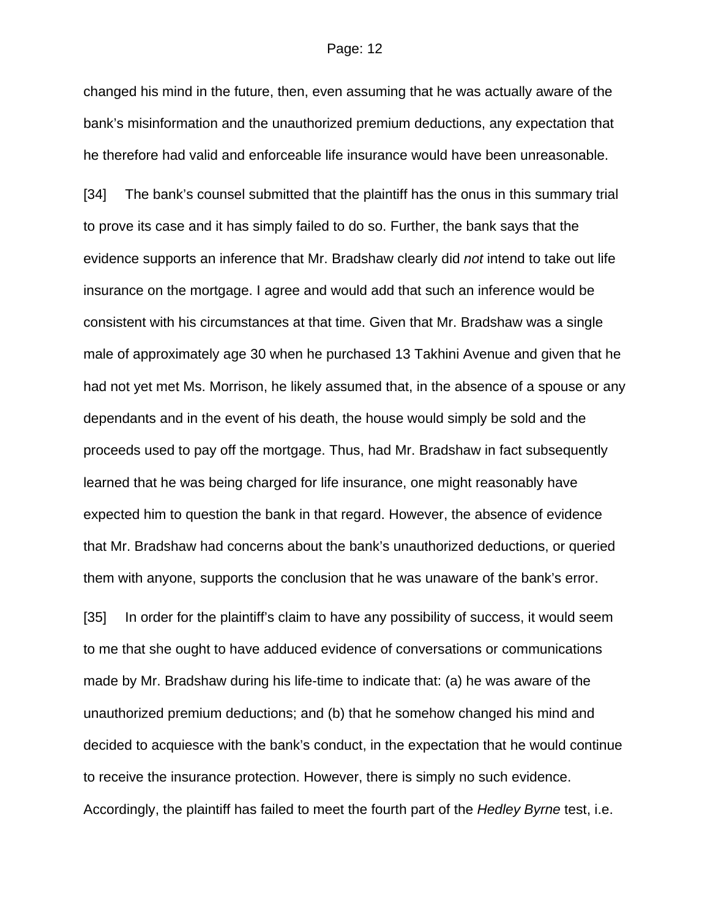changed his mind in the future, then, even assuming that he was actually aware of the bank's misinformation and the unauthorized premium deductions, any expectation that he therefore had valid and enforceable life insurance would have been unreasonable.

[34] The bank's counsel submitted that the plaintiff has the onus in this summary trial to prove its case and it has simply failed to do so. Further, the bank says that the evidence supports an inference that Mr. Bradshaw clearly did *not* intend to take out life insurance on the mortgage. I agree and would add that such an inference would be consistent with his circumstances at that time. Given that Mr. Bradshaw was a single male of approximately age 30 when he purchased 13 Takhini Avenue and given that he had not yet met Ms. Morrison, he likely assumed that, in the absence of a spouse or any dependants and in the event of his death, the house would simply be sold and the proceeds used to pay off the mortgage. Thus, had Mr. Bradshaw in fact subsequently learned that he was being charged for life insurance, one might reasonably have expected him to question the bank in that regard. However, the absence of evidence that Mr. Bradshaw had concerns about the bank's unauthorized deductions, or queried them with anyone, supports the conclusion that he was unaware of the bank's error.

[35] In order for the plaintiff's claim to have any possibility of success, it would seem to me that she ought to have adduced evidence of conversations or communications made by Mr. Bradshaw during his life-time to indicate that: (a) he was aware of the unauthorized premium deductions; and (b) that he somehow changed his mind and decided to acquiesce with the bank's conduct, in the expectation that he would continue to receive the insurance protection. However, there is simply no such evidence. Accordingly, the plaintiff has failed to meet the fourth part of the *Hedley Byrne* test, i.e.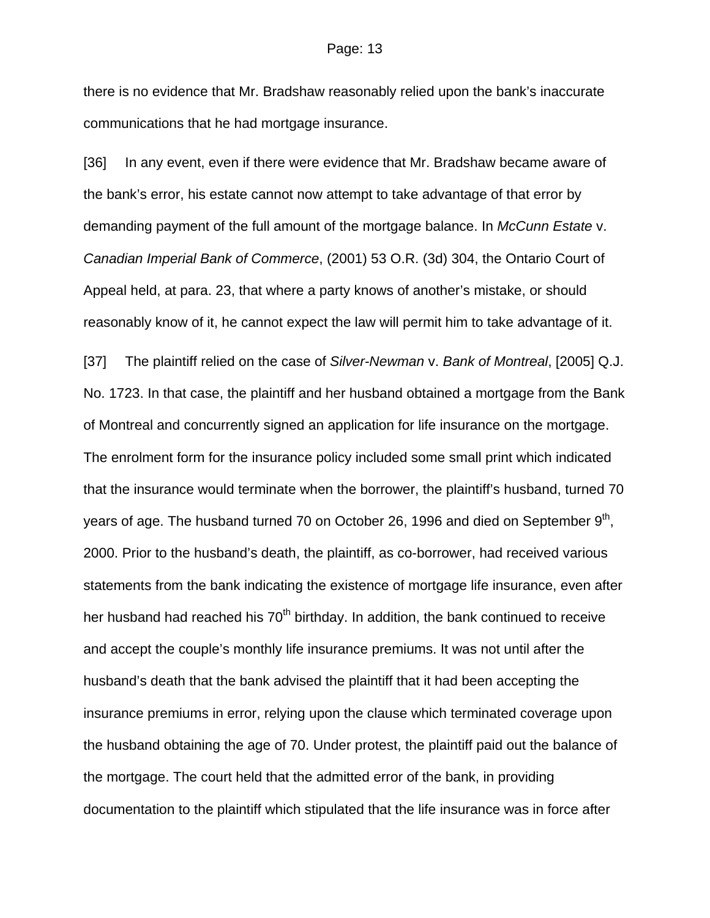there is no evidence that Mr. Bradshaw reasonably relied upon the bank's inaccurate communications that he had mortgage insurance.

[36] In any event, even if there were evidence that Mr. Bradshaw became aware of the bank's error, his estate cannot now attempt to take advantage of that error by demanding payment of the full amount of the mortgage balance. In *McCunn Estate* v. *Canadian Imperial Bank of Commerce*, (2001) 53 O.R. (3d) 304, the Ontario Court of Appeal held, at para. 23, that where a party knows of another's mistake, or should reasonably know of it, he cannot expect the law will permit him to take advantage of it.

[37] The plaintiff relied on the case of *Silver-Newman* v. *Bank of Montreal*, [2005] Q.J. No. 1723. In that case, the plaintiff and her husband obtained a mortgage from the Bank of Montreal and concurrently signed an application for life insurance on the mortgage. The enrolment form for the insurance policy included some small print which indicated that the insurance would terminate when the borrower, the plaintiff's husband, turned 70 years of age. The husband turned 70 on October 26, 1996 and died on September  $9<sup>th</sup>$ , 2000. Prior to the husband's death, the plaintiff, as co-borrower, had received various statements from the bank indicating the existence of mortgage life insurance, even after her husband had reached his  $70<sup>th</sup>$  birthday. In addition, the bank continued to receive and accept the couple's monthly life insurance premiums. It was not until after the husband's death that the bank advised the plaintiff that it had been accepting the insurance premiums in error, relying upon the clause which terminated coverage upon the husband obtaining the age of 70. Under protest, the plaintiff paid out the balance of the mortgage. The court held that the admitted error of the bank, in providing documentation to the plaintiff which stipulated that the life insurance was in force after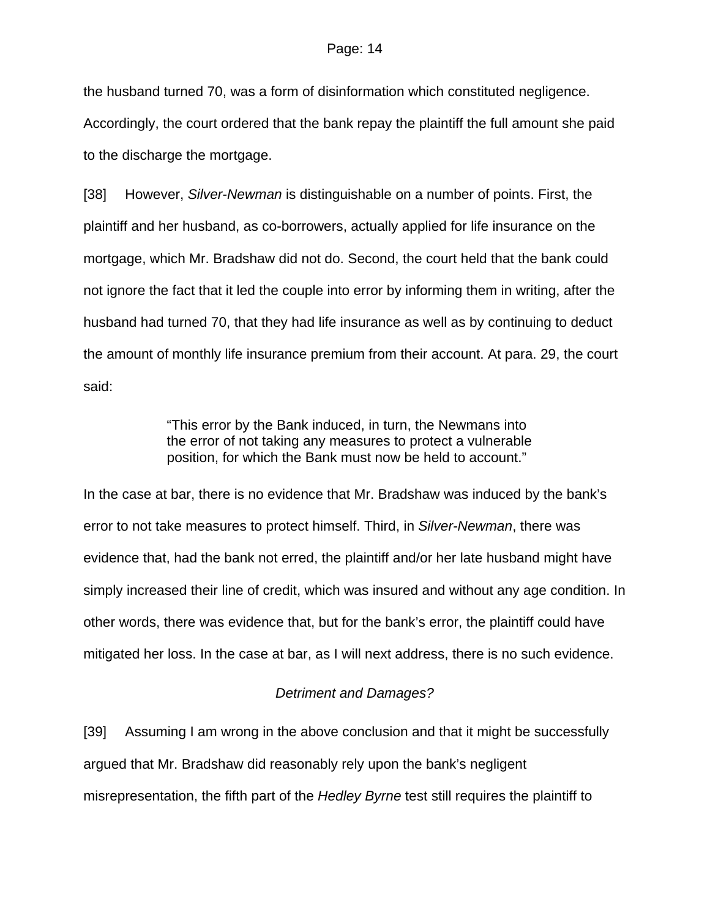the husband turned 70, was a form of disinformation which constituted negligence. Accordingly, the court ordered that the bank repay the plaintiff the full amount she paid to the discharge the mortgage.

[38] However, *Silver-Newman* is distinguishable on a number of points. First, the plaintiff and her husband, as co-borrowers, actually applied for life insurance on the mortgage, which Mr. Bradshaw did not do. Second, the court held that the bank could not ignore the fact that it led the couple into error by informing them in writing, after the husband had turned 70, that they had life insurance as well as by continuing to deduct the amount of monthly life insurance premium from their account. At para. 29, the court said:

> "This error by the Bank induced, in turn, the Newmans into the error of not taking any measures to protect a vulnerable position, for which the Bank must now be held to account."

In the case at bar, there is no evidence that Mr. Bradshaw was induced by the bank's error to not take measures to protect himself. Third, in *Silver-Newman*, there was evidence that, had the bank not erred, the plaintiff and/or her late husband might have simply increased their line of credit, which was insured and without any age condition. In other words, there was evidence that, but for the bank's error, the plaintiff could have mitigated her loss. In the case at bar, as I will next address, there is no such evidence.

## *Detriment and Damages?*

[39] Assuming I am wrong in the above conclusion and that it might be successfully argued that Mr. Bradshaw did reasonably rely upon the bank's negligent misrepresentation, the fifth part of the *Hedley Byrne* test still requires the plaintiff to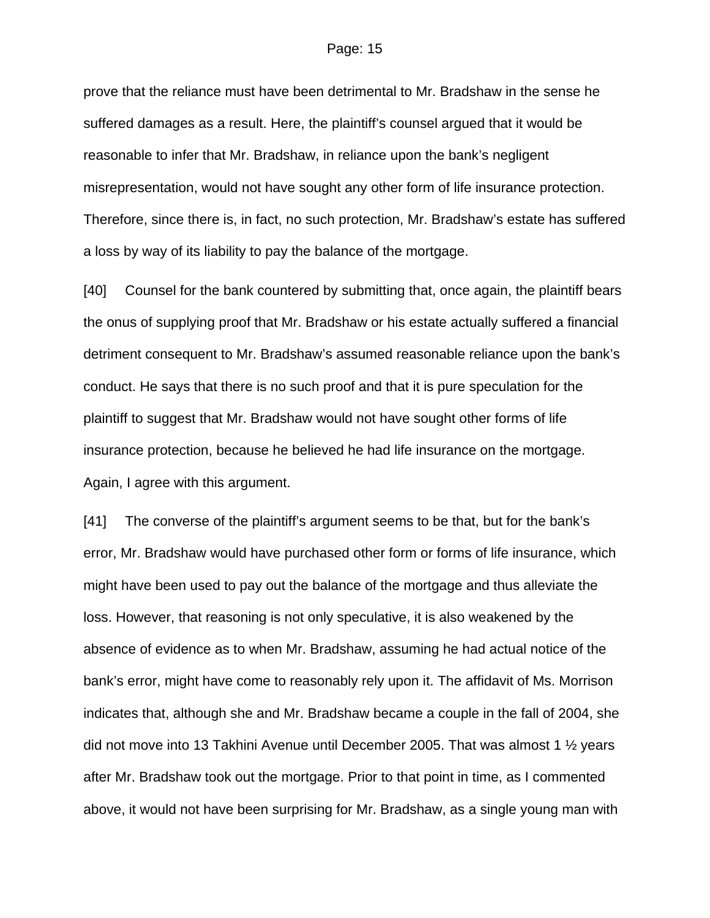prove that the reliance must have been detrimental to Mr. Bradshaw in the sense he suffered damages as a result. Here, the plaintiff's counsel argued that it would be reasonable to infer that Mr. Bradshaw, in reliance upon the bank's negligent misrepresentation, would not have sought any other form of life insurance protection. Therefore, since there is, in fact, no such protection, Mr. Bradshaw's estate has suffered a loss by way of its liability to pay the balance of the mortgage.

[40] Counsel for the bank countered by submitting that, once again, the plaintiff bears the onus of supplying proof that Mr. Bradshaw or his estate actually suffered a financial detriment consequent to Mr. Bradshaw's assumed reasonable reliance upon the bank's conduct. He says that there is no such proof and that it is pure speculation for the plaintiff to suggest that Mr. Bradshaw would not have sought other forms of life insurance protection, because he believed he had life insurance on the mortgage. Again, I agree with this argument.

[41] The converse of the plaintiff's argument seems to be that, but for the bank's error, Mr. Bradshaw would have purchased other form or forms of life insurance, which might have been used to pay out the balance of the mortgage and thus alleviate the loss. However, that reasoning is not only speculative, it is also weakened by the absence of evidence as to when Mr. Bradshaw, assuming he had actual notice of the bank's error, might have come to reasonably rely upon it. The affidavit of Ms. Morrison indicates that, although she and Mr. Bradshaw became a couple in the fall of 2004, she did not move into 13 Takhini Avenue until December 2005. That was almost 1 ½ years after Mr. Bradshaw took out the mortgage. Prior to that point in time, as I commented above, it would not have been surprising for Mr. Bradshaw, as a single young man with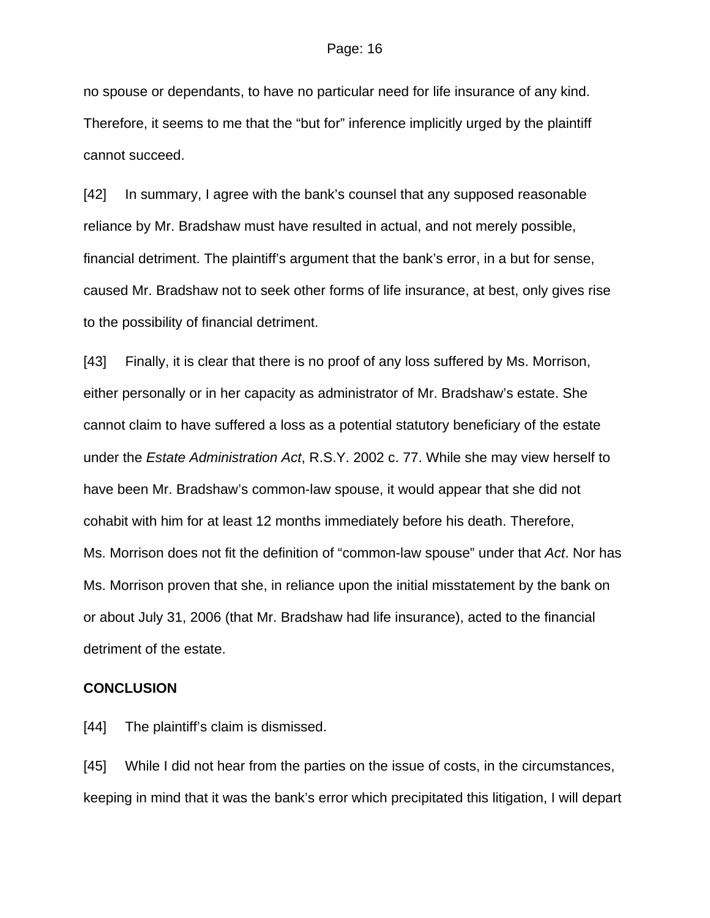no spouse or dependants, to have no particular need for life insurance of any kind. Therefore, it seems to me that the "but for" inference implicitly urged by the plaintiff cannot succeed.

[42] In summary, I agree with the bank's counsel that any supposed reasonable reliance by Mr. Bradshaw must have resulted in actual, and not merely possible, financial detriment. The plaintiff's argument that the bank's error, in a but for sense, caused Mr. Bradshaw not to seek other forms of life insurance, at best, only gives rise to the possibility of financial detriment.

[43] Finally, it is clear that there is no proof of any loss suffered by Ms. Morrison, either personally or in her capacity as administrator of Mr. Bradshaw's estate. She cannot claim to have suffered a loss as a potential statutory beneficiary of the estate under the *Estate Administration Act*, R.S.Y. 2002 c. 77. While she may view herself to have been Mr. Bradshaw's common-law spouse, it would appear that she did not cohabit with him for at least 12 months immediately before his death. Therefore, Ms. Morrison does not fit the definition of "common-law spouse" under that *Act*. Nor has Ms. Morrison proven that she, in reliance upon the initial misstatement by the bank on or about July 31, 2006 (that Mr. Bradshaw had life insurance), acted to the financial detriment of the estate.

### **CONCLUSION**

[44] The plaintiff's claim is dismissed.

[45] While I did not hear from the parties on the issue of costs, in the circumstances, keeping in mind that it was the bank's error which precipitated this litigation, I will depart